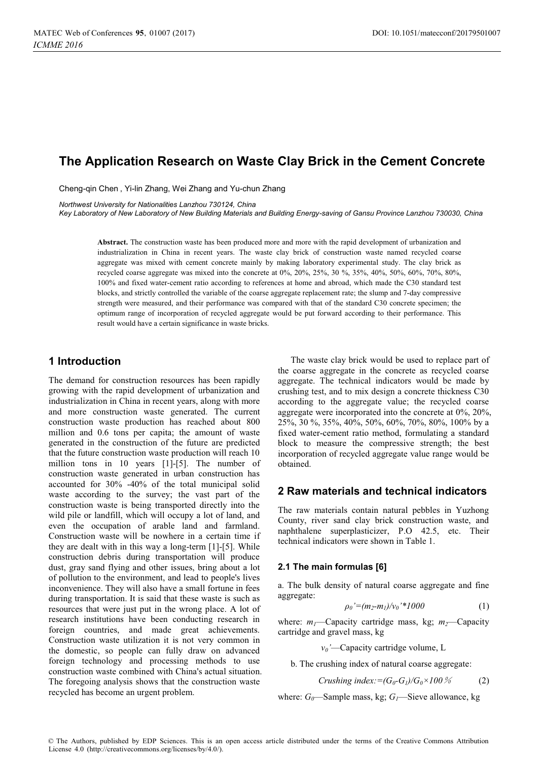# **The Application Research on Waste Clay Brick in the Cement Concrete**

Cheng-qin Chen , Yi-lin Zhang, Wei Zhang and Yu-chun Zhang

*Northwest University for Nationalities Lanzhou 730124, China* 

*Key Laboratory of New Laboratory of New Building Materials and Building Energy-saving of Gansu Province Lanzhou 730030, China* 

**Abstract.** The construction waste has been produced more and more with the rapid development of urbanization and industrialization in China in recent years. The waste clay brick of construction waste named recycled coarse aggregate was mixed with cement concrete mainly by making laboratory experimental study. The clay brick as recycled coarse aggregate was mixed into the concrete at 0%, 20%, 25%, 30 %, 35%, 40%, 50%, 60%, 70%, 80%, 100% and fixed water-cement ratio according to references at home and abroad, which made the C30 standard test blocks, and strictly controlled the variable of the coarse aggregate replacement rate; the slump and 7-day compressive strength were measured, and their performance was compared with that of the standard C30 concrete specimen; the optimum range of incorporation of recycled aggregate would be put forward according to their performance. This result would have a certain significance in waste bricks.

# **1 Introduction**

The demand for construction resources has been rapidly growing with the rapid development of urbanization and industrialization in China in recent years, along with more and more construction waste generated. The current construction waste production has reached about 800 million and 0.6 tons per capita; the amount of waste generated in the construction of the future are predicted that the future construction waste production will reach 10 million tons in 10 years [1]-[5]. The number of construction waste generated in urban construction has accounted for 30% -40% of the total municipal solid waste according to the survey; the vast part of the construction waste is being transported directly into the wild pile or landfill, which will occupy a lot of land, and even the occupation of arable land and farmland. Construction waste will be nowhere in a certain time if they are dealt with in this way a long-term [1]-[5]. While construction debris during transportation will produce dust, gray sand flying and other issues, bring about a lot of pollution to the environment, and lead to people's lives inconvenience. They will also have a small fortune in fees during transportation. It is said that these waste is such as resources that were just put in the wrong place. A lot of research institutions have been conducting research in foreign countries, and made great achievements. Construction waste utilization it is not very common in the domestic, so people can fully draw on advanced foreign technology and processing methods to use construction waste combined with China's actual situation. The foregoing analysis shows that the construction waste recycled has become an urgent problem.

The waste clay brick would be used to replace part of the coarse aggregate in the concrete as recycled coarse aggregate. The technical indicators would be made by crushing test, and to mix design a concrete thickness C30 according to the aggregate value; the recycled coarse aggregate were incorporated into the concrete at 0%, 20%, 25%, 30 %, 35%, 40%, 50%, 60%, 70%, 80%, 100% by a fixed water-cement ratio method, formulating a standard block to measure the compressive strength; the best incorporation of recycled aggregate value range would be obtained.

# **2 Raw materials and technical indicators**

The raw materials contain natural pebbles in Yuzhong County, river sand clay brick construction waste, and naphthalene superplasticizer, P.O 42.5, etc. Their technical indicators were shown in Table 1.

#### **2.1 The main formulas [6]**

a. The bulk density of natural coarse aggregate and fine aggregate:

$$
\rho_0' = (m_2 - m_1)/v_0' \cdot *1000 \tag{1}
$$

where:  $m_1$ —Capacity cartridge mass, kg;  $m_2$ —Capacity cartridge and gravel mass, kg

*v0'*—Capacity cartridge volume, L

b. The crushing index of natural coarse aggregate:

$$
Crushing index := (G_0 - G_1)/G_0 \times 100\% \tag{2}
$$

where:  $G_0$ —Sample mass, kg;  $G_1$ —Sieve allowance, kg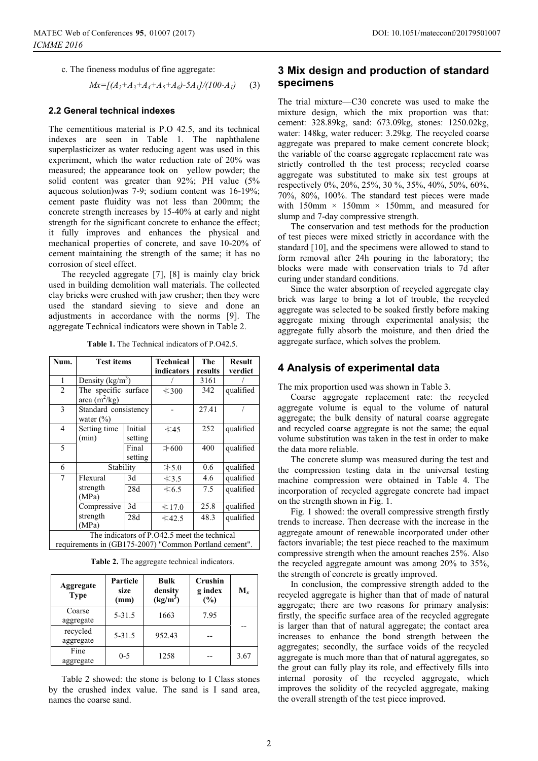c. The fineness modulus of fine aggregate:

$$
Mx=[(A_2+A_3+A_4+A_5+A_6)-5A_1]/(100-A_1)\qquad (3)
$$

#### **2.2 General technical indexes**

The cementitious material is P.O 42.5, and its technical indexes are seen in Table 1. The naphthalene superplasticizer as water reducing agent was used in this experiment, which the water reduction rate of 20% was measured; the appearance took on yellow powder; the solid content was greater than 92%; PH value (5% aqueous solution)was 7-9; sodium content was 16-19%; cement paste fluidity was not less than 200mm; the concrete strength increases by 15-40% at early and night strength for the significant concrete to enhance the effect; it fully improves and enhances the physical and mechanical properties of concrete, and save 10-20% of cement maintaining the strength of the same; it has no corrosion of steel effect.

The recycled aggregate [7], [8] is mainly clay brick used in building demolition wall materials. The collected clay bricks were crushed with jaw crusher; then they were used the standard sieving to sieve and done an adjustments in accordance with the norms [9]. The aggregate Technical indicators were shown in Table 2.

| Num.                                                                                                   | <b>Test items</b>                       |                    | Technical   | The     | <b>Result</b> |  |  |
|--------------------------------------------------------------------------------------------------------|-----------------------------------------|--------------------|-------------|---------|---------------|--|--|
|                                                                                                        |                                         |                    | indicators  | results | verdict       |  |  |
| $\mathbf{1}$                                                                                           | Density $(kg/m^3)$                      |                    |             | 3161    |               |  |  |
| $\overline{2}$                                                                                         | The specific surface<br>area $(m^2/kg)$ |                    | $\leq 300$  | 342     | qualified     |  |  |
| 3                                                                                                      | Standard consistency<br>water $(\% )$   |                    |             | 27.41   |               |  |  |
| $\overline{4}$                                                                                         | Setting time<br>(min)                   | Initial<br>setting | $\leq 45$   | 252     | qualified     |  |  |
| 5                                                                                                      |                                         | Final<br>setting   | $\geq 600$  | 400     | qualified     |  |  |
| 6                                                                                                      | Stability                               |                    | $\geq 5.0$  | 0.6     | qualified     |  |  |
| 7                                                                                                      | Flexural                                | 3d                 | $\leq$ 3.5  | 4.6     | qualified     |  |  |
|                                                                                                        | strength<br>(MPa)                       | 28d                | $\leq 6.5$  | 7.5     | qualified     |  |  |
|                                                                                                        | Compressive                             | 3d                 | < 17.0      | 25.8    | qualified     |  |  |
|                                                                                                        | strength<br>(MPa)                       | 28d                | $\leq 42.5$ | 48.3    | qualified     |  |  |
| The indicators of P.O42.5 meet the technical<br>requirements in (GB175-2007) "Common Portland cement". |                                         |                    |             |         |               |  |  |

**Table 1.** The Technical indicators of P.O42.5.

**Table 2.** The aggregate technical indicators.

| Aggregate<br><b>Type</b> | Particle<br>size<br>(mm) | <b>Bulk</b><br>density<br>$(kg/m^3)$ | Crushin<br>g index<br>$(\%)$ | $M_{r}$ |
|--------------------------|--------------------------|--------------------------------------|------------------------------|---------|
| Coarse<br>aggregate      | $5 - 31.5$               | 1663                                 | 7.95                         |         |
| recycled<br>aggregate    | $5 - 31.5$               | 952.43                               |                              |         |
| Fine<br>aggregate        | $0 - 5$                  | 1258                                 |                              | 3.67    |

Table 2 showed: the stone is belong to I Class stones by the crushed index value. The sand is I sand area, names the coarse sand.

# **3 Mix design and production of standard specimens**

The trial mixture—C30 concrete was used to make the mixture design, which the mix proportion was that: cement: 328.89kg, sand: 673.09kg, stones: 1250.02kg, water: 148kg, water reducer: 3.29kg. The recycled coarse aggregate was prepared to make cement concrete block; the variable of the coarse aggregate replacement rate was strictly controlled th the test process; recycled coarse aggregate was substituted to make six test groups at respectively 0%, 20%, 25%, 30 %, 35%, 40%, 50%, 60%, 70%, 80%, 100%. The standard test pieces were made with  $150$ mm × 150mm × 150mm, and measured for slump and 7-day compressive strength.

The conservation and test methods for the production of test pieces were mixed strictly in accordance with the standard [10], and the specimens were allowed to stand to form removal after 24h pouring in the laboratory; the blocks were made with conservation trials to 7d after curing under standard conditions.

Since the water absorption of recycled aggregate clay brick was large to bring a lot of trouble, the recycled aggregate was selected to be soaked firstly before making aggregate mixing through experimental analysis; the aggregate fully absorb the moisture, and then dried the aggregate surface, which solves the problem.

### **4 Analysis of experimental data**

The mix proportion used was shown in Table 3.

Coarse aggregate replacement rate: the recycled aggregate volume is equal to the volume of natural aggregate; the bulk density of natural coarse aggregate and recycled coarse aggregate is not the same; the equal volume substitution was taken in the test in order to make the data more reliable.

The concrete slump was measured during the test and the compression testing data in the universal testing machine compression were obtained in Table 4. The incorporation of recycled aggregate concrete had impact on the strength shown in Fig. 1.

Fig. 1 showed: the overall compressive strength firstly trends to increase. Then decrease with the increase in the aggregate amount of renewable incorporated under other factors invariable; the test piece reached to the maximum compressive strength when the amount reaches 25%. Also the recycled aggregate amount was among 20% to 35%, the strength of concrete is greatly improved.

In conclusion, the compressive strength added to the recycled aggregate is higher than that of made of natural aggregate; there are two reasons for primary analysis: firstly, the specific surface area of the recycled aggregate is larger than that of natural aggregate; the contact area increases to enhance the bond strength between the aggregates; secondly, the surface voids of the recycled aggregate is much more than that of natural aggregates, so the grout can fully play its role, and effectively fills into internal porosity of the recycled aggregate, which improves the solidity of the recycled aggregate, making the overall strength of the test piece improved.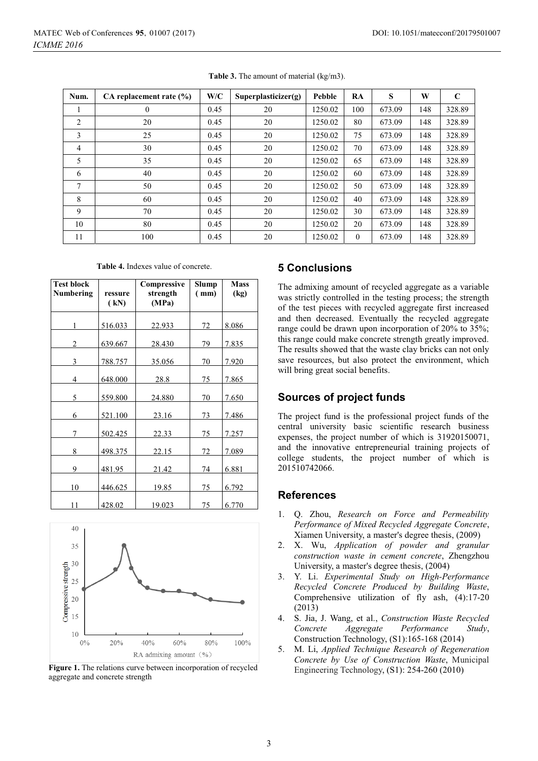| Num.           | CA replacement rate $(\% )$ | W/C  | Superplasticizer(g) | Pebble  | RA       | S      | W   | $\mathbf C$ |
|----------------|-----------------------------|------|---------------------|---------|----------|--------|-----|-------------|
|                | $\theta$                    | 0.45 | 20                  | 1250.02 | 100      | 673.09 | 148 | 328.89      |
| 2              | 20                          | 0.45 | 20                  | 1250.02 | 80       | 673.09 | 148 | 328.89      |
| 3              | 25                          | 0.45 | 20                  | 1250.02 | 75       | 673.09 | 148 | 328.89      |
| $\overline{4}$ | 30                          | 0.45 | 20                  | 1250.02 | 70       | 673.09 | 148 | 328.89      |
| 5              | 35                          | 0.45 | 20                  | 1250.02 | 65       | 673.09 | 148 | 328.89      |
| 6              | 40                          | 0.45 | 20                  | 1250.02 | 60       | 673.09 | 148 | 328.89      |
| 7              | 50                          | 0.45 | 20                  | 1250.02 | 50       | 673.09 | 148 | 328.89      |
| 8              | 60                          | 0.45 | 20                  | 1250.02 | 40       | 673.09 | 148 | 328.89      |
| 9              | 70                          | 0.45 | 20                  | 1250.02 | 30       | 673.09 | 148 | 328.89      |
| 10             | 80                          | 0.45 | 20                  | 1250.02 | 20       | 673.09 | 148 | 328.89      |
| 11             | 100                         | 0.45 | 20                  | 1250.02 | $\theta$ | 673.09 | 148 | 328.89      |

**Table 3.** The amount of material (kg/m3).

| <b>Table 4.</b> Indexes value of concrete. |
|--------------------------------------------|
|--------------------------------------------|

| <b>Test block</b><br>Numbering | ressure<br>(kN) | Compressive<br>strength<br>(MPa) | Slump<br>(mm) | <b>Mass</b><br>(kg) |
|--------------------------------|-----------------|----------------------------------|---------------|---------------------|
| 1                              | 516.033         | 22.933                           | 72            | 8.086               |
| 2                              | 639.667         | 28.430                           | 79            | 7.835               |
| 3                              | 788.757         | 35.056                           | 70            | 7.920               |
| 4                              | 648.000         | 28.8                             | 75            | 7.865               |
| 5                              | 559.800         | 24.880                           | 70            | <u>7.650</u>        |
| 6                              | 521.100         | 23.16                            | 73            | 7.486               |
| 7                              | 502.425         | 22.33                            | 75            | 7.257               |
| 8                              | 498.375         | 22.15                            | 72            | 7.089               |
| 9                              | 481.95          | 21.42                            | 74            | 6.881               |
| 10                             | 446.625         | 19.85                            | 75            | 6.792               |
| 11                             | 428.02          | 19.023                           | 75            | 6.770               |



**Figure 1.** The relations curve between incorporation of recycled aggregate and concrete strength

# **5 Conclusions**

The admixing amount of recycled aggregate as a variable was strictly controlled in the testing process; the strength of the test pieces with recycled aggregate first increased and then decreased. Eventually the recycled aggregate range could be drawn upon incorporation of 20% to 35%; this range could make concrete strength greatly improved. The results showed that the waste clay bricks can not only save resources, but also protect the environment, which will bring great social benefits.

# **Sources of project funds**

The project fund is the professional project funds of the central university basic scientific research business expenses, the project number of which is 31920150071, and the innovative entrepreneurial training projects of college students, the project number of which is 201510742066.

### **References**

- 1. Q. Zhou, *Research on Force and Permeability Performance of Mixed Recycled Aggregate Concrete*, Xiamen University, a master's degree thesis, (2009)
- 2. X. Wu, *Application of powder and granular construction waste in cement concrete*, Zhengzhou University, a master's degree thesis, (2004)
- 3. Y. Li. *Experimental Study on High-Performance Recycled Concrete Produced by Building Waste*, Comprehensive utilization of fly ash, (4):17-20 (2013)
- 4. S. Jia, J. Wang, et al., *Construction Waste Recycled Concrete Aggregate Performance Study*, Construction Technology, (S1):165-168 (2014)
- 5. M. Li, *Applied Technique Research of Regeneration Concrete by Use of Construction Waste*, Municipal Engineering Technology, (S1): 254-260 (2010)